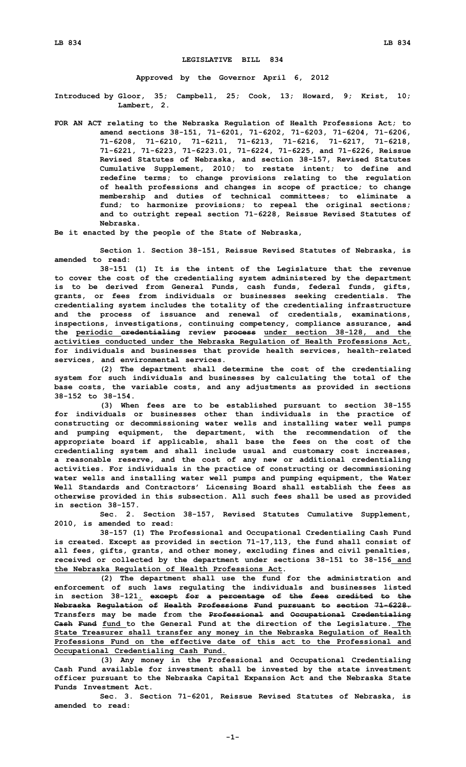## **LEGISLATIVE BILL 834**

**Approved by the Governor April 6, 2012**

**Introduced by Gloor, 35; Campbell, 25; Cook, 13; Howard, 9; Krist, 10; Lambert, 2.**

**FOR AN ACT relating to the Nebraska Regulation of Health Professions Act; to amend sections 38-151, 71-6201, 71-6202, 71-6203, 71-6204, 71-6206, 71-6208, 71-6210, 71-6211, 71-6213, 71-6216, 71-6217, 71-6218, 71-6221, 71-6223, 71-6223.01, 71-6224, 71-6225, and 71-6226, Reissue Revised Statutes of Nebraska, and section 38-157, Revised Statutes Cumulative Supplement, 2010; to restate intent; to define and redefine terms; to change provisions relating to the regulation of health professions and changes in scope of practice; to change membership and duties of technical committees; to eliminate <sup>a</sup> fund; to harmonize provisions; to repeal the original sections; and to outright repeal section 71-6228, Reissue Revised Statutes of Nebraska.**

**Be it enacted by the people of the State of Nebraska,**

**Section 1. Section 38-151, Reissue Revised Statutes of Nebraska, is amended to read:**

**38-151 (1) It is the intent of the Legislature that the revenue to cover the cost of the credentialing system administered by the department is to be derived from General Funds, cash funds, federal funds, gifts, grants, or fees from individuals or businesses seeking credentials. The credentialing system includes the totality of the credentialing infrastructure and the process of issuance and renewal of credentials, examinations, inspections, investigations, continuing competency, compliance assurance, and the periodic credentialing review process under section 38-128, and the activities conducted under the Nebraska Regulation of Health Professions Act, for individuals and businesses that provide health services, health-related services, and environmental services.**

**(2) The department shall determine the cost of the credentialing system for such individuals and businesses by calculating the total of the base costs, the variable costs, and any adjustments as provided in sections 38-152 to 38-154.**

**(3) When fees are to be established pursuant to section 38-155 for individuals or businesses other than individuals in the practice of constructing or decommissioning water wells and installing water well pumps and pumping equipment, the department, with the recommendation of the appropriate board if applicable, shall base the fees on the cost of the credentialing system and shall include usual and customary cost increases, <sup>a</sup> reasonable reserve, and the cost of any new or additional credentialing activities. For individuals in the practice of constructing or decommissioning water wells and installing water well pumps and pumping equipment, the Water Well Standards and Contractors' Licensing Board shall establish the fees as otherwise provided in this subsection. All such fees shall be used as provided in section 38-157.**

**Sec. 2. Section 38-157, Revised Statutes Cumulative Supplement, 2010, is amended to read:**

**38-157 (1) The Professional and Occupational Credentialing Cash Fund is created. Except as provided in section 71-17,113, the fund shall consist of all fees, gifts, grants, and other money, excluding fines and civil penalties, received or collected by the department under sections 38-151 to 38-156 and the Nebraska Regulation of Health Professions Act.**

**(2) The department shall use the fund for the administration and enforcement of such laws regulating the individuals and businesses listed in section 38-121. except for <sup>a</sup> percentage of the fees credited to the Nebraska Regulation of Health Professions Fund pursuant to section 71-6228. Transfers may be made from the Professional and Occupational Credentialing Cash Fund fund to the General Fund at the direction of the Legislature. The State Treasurer shall transfer any money in the Nebraska Regulation of Health Professions Fund on the effective date of this act to the Professional and Occupational Credentialing Cash Fund.**

**(3) Any money in the Professional and Occupational Credentialing Cash Fund available for investment shall be invested by the state investment officer pursuant to the Nebraska Capital Expansion Act and the Nebraska State Funds Investment Act.**

**Sec. 3. Section 71-6201, Reissue Revised Statutes of Nebraska, is amended to read:**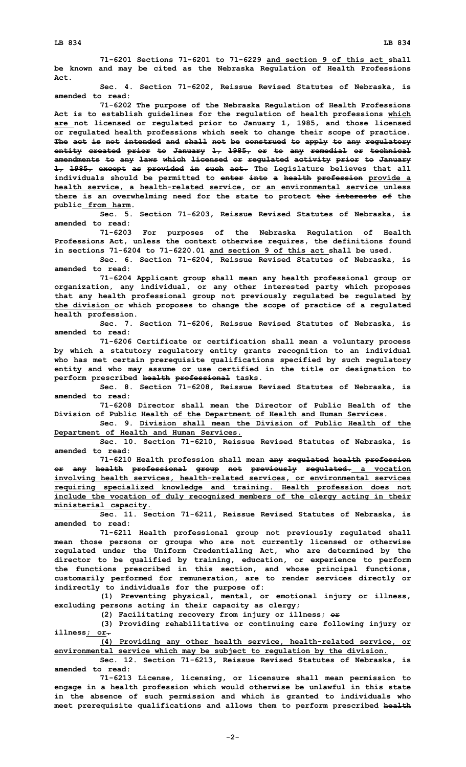**71-6201 Sections 71-6201 to 71-6229 and section 9 of this act shall be known and may be cited as the Nebraska Regulation of Health Professions Act.**

**Sec. 4. Section 71-6202, Reissue Revised Statutes of Nebraska, is amended to read:**

**71-6202 The purpose of the Nebraska Regulation of Health Professions Act is to establish guidelines for the regulation of health professions which are not licensed or regulated prior to January 1, 1985, and those licensed or regulated health professions which seek to change their scope of practice. The act is not intended and shall not be construed to apply to any regulatory entity created prior to January 1, 1985, or to any remedial or technical amendments to any laws which licensed or regulated activity prior to January 1, 1985, except as provided in such act. The Legislature believes that all individuals should be permitted to enter into <sup>a</sup> health profession provide <sup>a</sup> health service, <sup>a</sup> health-related service, or an environmental service unless there is an overwhelming need for the state to protect the interests of the public from harm.**

**Sec. 5. Section 71-6203, Reissue Revised Statutes of Nebraska, is amended to read:**

**71-6203 For purposes of the Nebraska Regulation of Health Professions Act, unless the context otherwise requires, the definitions found in sections 71-6204 to 71-6220.01 and section 9 of this act shall be used.**

**Sec. 6. Section 71-6204, Reissue Revised Statutes of Nebraska, is amended to read:**

**71-6204 Applicant group shall mean any health professional group or organization, any individual, or any other interested party which proposes that any health professional group not previously regulated be regulated by the division or which proposes to change the scope of practice of <sup>a</sup> regulated health profession.**

**Sec. 7. Section 71-6206, Reissue Revised Statutes of Nebraska, is amended to read:**

**71-6206 Certificate or certification shall mean <sup>a</sup> voluntary process by which <sup>a</sup> statutory regulatory entity grants recognition to an individual who has met certain prerequisite qualifications specified by such regulatory entity and who may assume or use certified in the title or designation to perform prescribed health professional tasks.**

**Sec. 8. Section 71-6208, Reissue Revised Statutes of Nebraska, is amended to read:**

**71-6208 Director shall mean the Director of Public Health of the Division of Public Health of the Department of Health and Human Services.**

**Sec. 9. Division shall mean the Division of Public Health of the Department of Health and Human Services.**

**Sec. 10. Section 71-6210, Reissue Revised Statutes of Nebraska, is amended to read:**

**71-6210 Health profession shall mean any regulated health profession or any health professional group not previously regulated. <sup>a</sup> vocation involving health services, health-related services, or environmental services requiring specialized knowledge and training. Health profession does not include the vocation of duly recognized members of the clergy acting in their ministerial capacity.**

**Sec. 11. Section 71-6211, Reissue Revised Statutes of Nebraska, is amended to read:**

**71-6211 Health professional group not previously regulated shall mean those persons or groups who are not currently licensed or otherwise regulated under the Uniform Credentialing Act, who are determined by the director to be qualified by training, education, or experience to perform the functions prescribed in this section, and whose principal functions, customarily performed for remuneration, are to render services directly or indirectly to individuals for the purpose of:**

**(1) Preventing physical, mental, or emotional injury or illness, excluding persons acting in their capacity as clergy;**

**(2) Facilitating recovery from injury or illness; or**

**(3) Providing rehabilitative or continuing care following injury or illness; or.**

**(4) Providing any other health service, health-related service, or environmental service which may be subject to regulation by the division.**

**Sec. 12. Section 71-6213, Reissue Revised Statutes of Nebraska, is amended to read:**

**71-6213 License, licensing, or licensure shall mean permission to engage in <sup>a</sup> health profession which would otherwise be unlawful in this state in the absence of such permission and which is granted to individuals who meet prerequisite qualifications and allows them to perform prescribed health**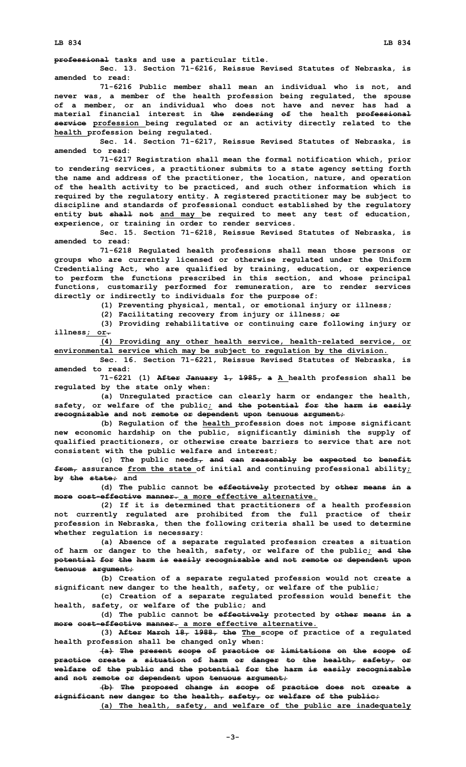**professional tasks and use <sup>a</sup> particular title.**

**Sec. 13. Section 71-6216, Reissue Revised Statutes of Nebraska, is amended to read:**

**71-6216 Public member shall mean an individual who is not, and never was, <sup>a</sup> member of the health profession being regulated, the spouse of <sup>a</sup> member, or an individual who does not have and never has had <sup>a</sup> material financial interest in the rendering of the health professional service profession being regulated or an activity directly related to the health profession being regulated.**

**Sec. 14. Section 71-6217, Reissue Revised Statutes of Nebraska, is amended to read:**

**71-6217 Registration shall mean the formal notification which, prior to rendering services, <sup>a</sup> practitioner submits to <sup>a</sup> state agency setting forth the name and address of the practitioner, the location, nature, and operation of the health activity to be practiced, and such other information which is required by the regulatory entity. A registered practitioner may be subject to discipline and standards of professional conduct established by the regulatory entity but shall not and may be required to meet any test of education, experience, or training in order to render services.**

**Sec. 15. Section 71-6218, Reissue Revised Statutes of Nebraska, is amended to read:**

**71-6218 Regulated health professions shall mean those persons or groups who are currently licensed or otherwise regulated under the Uniform Credentialing Act, who are qualified by training, education, or experience to perform the functions prescribed in this section, and whose principal functions, customarily performed for remuneration, are to render services directly or indirectly to individuals for the purpose of:**

**(1) Preventing physical, mental, or emotional injury or illness;**

**(2) Facilitating recovery from injury or illness; or**

**(3) Providing rehabilitative or continuing care following injury or illness; or.**

**(4) Providing any other health service, health-related service, or environmental service which may be subject to regulation by the division.**

**Sec. 16. Section 71-6221, Reissue Revised Statutes of Nebraska, is amended to read:**

**71-6221 (1) After January 1, 1985, <sup>a</sup> <sup>A</sup> health profession shall be regulated by the state only when:**

**(a) Unregulated practice can clearly harm or endanger the health, safety, or welfare of the public; and the potential for the harm is easily recognizable and not remote or dependent upon tenuous argument;**

**(b) Regulation of the health profession does not impose significant new economic hardship on the public, significantly diminish the supply of qualified practitioners, or otherwise create barriers to service that are not consistent with the public welfare and interest;**

**(c) The public needs, and can reasonably be expected to benefit from, assurance from the state of initial and continuing professional ability; by the state; and**

**(d) The public cannot be effectively protected by other means in <sup>a</sup> more cost-effective manner. a more effective alternative.**

**(2) If it is determined that practitioners of <sup>a</sup> health profession not currently regulated are prohibited from the full practice of their profession in Nebraska, then the following criteria shall be used to determine whether regulation is necessary:**

**(a) Absence of <sup>a</sup> separate regulated profession creates <sup>a</sup> situation of harm or danger to the health, safety, or welfare of the public; and the potential for the harm is easily recognizable and not remote or dependent upon tenuous argument;**

**(b) Creation of <sup>a</sup> separate regulated profession would not create <sup>a</sup> significant new danger to the health, safety, or welfare of the public;**

**(c) Creation of <sup>a</sup> separate regulated profession would benefit the health, safety, or welfare of the public; and**

**(d) The public cannot be effectively protected by other means in <sup>a</sup> more cost-effective manner. a more effective alternative.**

**(3) After March 18, 1988, the The scope of practice of <sup>a</sup> regulated health profession shall be changed only when:**

**(a) The present scope of practice or limitations on the scope of practice create <sup>a</sup> situation of harm or danger to the health, safety, or welfare of the public and the potential for the harm is easily recognizable and not remote or dependent upon tenuous argument;**

**(b) The proposed change in scope of practice does not create <sup>a</sup> significant new danger to the health, safety, or welfare of the public;**

**(a) The health, safety, and welfare of the public are inadequately**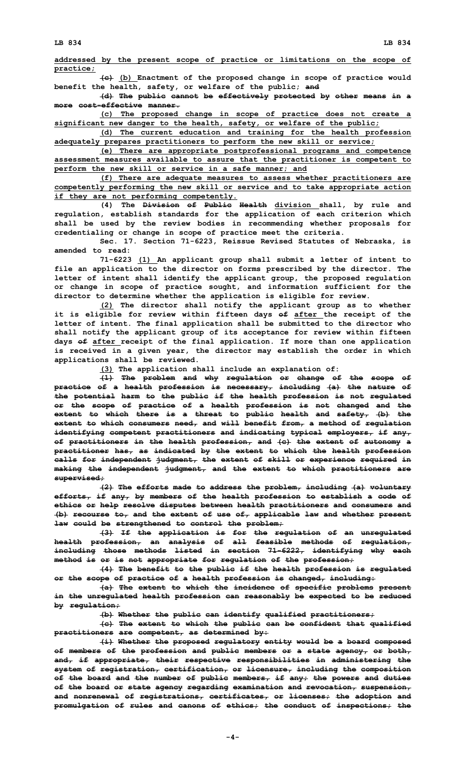**addressed by the present scope of practice or limitations on the scope of practice;**

**(c) (b) Enactment of the proposed change in scope of practice would benefit the health, safety, or welfare of the public; and**

**(d) The public cannot be effectively protected by other means in <sup>a</sup> more cost-effective manner.**

**(c) The proposed change in scope of practice does not create <sup>a</sup> significant new danger to the health, safety, or welfare of the public;**

**(d) The current education and training for the health profession adequately prepares practitioners to perform the new skill or service;**

**(e) There are appropriate postprofessional programs and competence assessment measures available to assure that the practitioner is competent to perform the new skill or service in <sup>a</sup> safe manner; and**

**(f) There are adequate measures to assess whether practitioners are competently performing the new skill or service and to take appropriate action if they are not performing competently.**

**(4) The Division of Public Health division shall, by rule and regulation, establish standards for the application of each criterion which shall be used by the review bodies in recommending whether proposals for credentialing or change in scope of practice meet the criteria.**

**Sec. 17. Section 71-6223, Reissue Revised Statutes of Nebraska, is amended to read:**

**71-6223 (1) An applicant group shall submit <sup>a</sup> letter of intent to file an application to the director on forms prescribed by the director. The letter of intent shall identify the applicant group, the proposed regulation or change in scope of practice sought, and information sufficient for the director to determine whether the application is eligible for review.**

**(2) The director shall notify the applicant group as to whether it is eligible for review within fifteen days of after the receipt of the letter of intent. The final application shall be submitted to the director who shall notify the applicant group of its acceptance for review within fifteen days of after receipt of the final application. If more than one application is received in <sup>a</sup> given year, the director may establish the order in which applications shall be reviewed.**

**(3) The application shall include an explanation of:**

**(1) The problem and why regulation or change of the scope of practice of <sup>a</sup> health profession is necessary, including (a) the nature of the potential harm to the public if the health profession is not regulated or the scope of practice of <sup>a</sup> health profession is not changed and the extent to which there is <sup>a</sup> threat to public health and safety, (b) the extent to which consumers need, and will benefit from, <sup>a</sup> method of regulation identifying competent practitioners and indicating typical employers, if any, of practitioners in the health profession, and (c) the extent of autonomy <sup>a</sup> practitioner has, as indicated by the extent to which the health profession calls for independent judgment, the extent of skill or experience required in making the independent judgment, and the extent to which practitioners are supervised;**

**(2) The efforts made to address the problem, including (a) voluntary efforts, if any, by members of the health profession to establish <sup>a</sup> code of ethics or help resolve disputes between health practitioners and consumers and (b) recourse to, and the extent of use of, applicable law and whether present law could be strengthened to control the problem;**

**(3) If the application is for the regulation of an unregulated health profession, an analysis of all feasible methods of regulation, including those methods listed in section 71-6222, identifying why each method is or is not appropriate for regulation of the profession;**

**(4) The benefit to the public if the health profession is regulated or the scope of practice of <sup>a</sup> health profession is changed, including:**

**(a) The extent to which the incidence of specific problems present in the unregulated health profession can reasonably be expected to be reduced by regulation;**

**(b) Whether the public can identify qualified practitioners;**

**(c) The extent to which the public can be confident that qualified practitioners are competent, as determined by:**

**(i) Whether the proposed regulatory entity would be <sup>a</sup> board composed of members of the profession and public members or <sup>a</sup> state agency, or both, and, if appropriate, their respective responsibilities in administering the system of registration, certification, or licensure, including the composition of the board and the number of public members, if any; the powers and duties of the board or state agency regarding examination and revocation, suspension, and nonrenewal of registrations, certificates, or licenses; the adoption and promulgation of rules and canons of ethics; the conduct of inspections; the**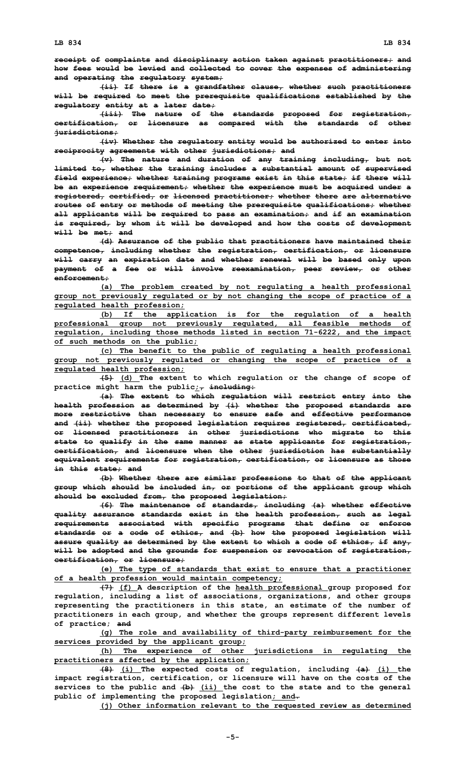**(ii) If there is <sup>a</sup> grandfather clause, whether such practitioners will be required to meet the prerequisite qualifications established by the regulatory entity at <sup>a</sup> later date;**

**(iii) The nature of the standards proposed for registration, certification, or licensure as compared with the standards of other jurisdictions;**

**(iv) Whether the regulatory entity would be authorized to enter into reciprocity agreements with other jurisdictions; and**

**(v) The nature and duration of any training including, but not limited to, whether the training includes <sup>a</sup> substantial amount of supervised field experience; whether training programs exist in this state; if there will be an experience requirement; whether the experience must be acquired under <sup>a</sup> registered, certified, or licensed practitioner; whether there are alternative routes of entry or methods of meeting the prerequisite qualifications; whether all applicants will be required to pass an examination; and if an examination is required, by whom it will be developed and how the costs of development will be met; and**

**(d) Assurance of the public that practitioners have maintained their competence, including whether the registration, certification, or licensure will carry an expiration date and whether renewal will be based only upon payment of <sup>a</sup> fee or will involve reexamination, peer review, or other enforcement;**

**(a) The problem created by not regulating <sup>a</sup> health professional group not previously regulated or by not changing the scope of practice of <sup>a</sup> regulated health profession;**

**(b) If the application is for the regulation of <sup>a</sup> health professional group not previously regulated, all feasible methods of regulation, including those methods listed in section 71-6222, and the impact of such methods on the public;**

**(c) The benefit to the public of regulating <sup>a</sup> health professional group not previously regulated or changing the scope of practice of <sup>a</sup> regulated health profession;**

**(5) (d) The extent to which regulation or the change of scope of practice might harm the public;, including:**

**(a) The extent to which regulation will restrict entry into the health profession as determined by (i) whether the proposed standards are more restrictive than necessary to ensure safe and effective performance and (ii) whether the proposed legislation requires registered, certificated, or licensed practitioners in other jurisdictions who migrate to this state to qualify in the same manner as state applicants for registration, certification, and licensure when the other jurisdiction has substantially equivalent requirements for registration, certification, or licensure as those in this state; and**

**(b) Whether there are similar professions to that of the applicant group which should be included in, or portions of the applicant group which should be excluded from, the proposed legislation;**

**(6) The maintenance of standards, including (a) whether effective quality assurance standards exist in the health profession, such as legal requirements associated with specific programs that define or enforce standards or <sup>a</sup> code of ethics, and (b) how the proposed legislation will assure quality as determined by the extent to which <sup>a</sup> code of ethics, if any, will be adopted and the grounds for suspension or revocation of registration, certification, or licensure;**

**(e) The type of standards that exist to ensure that <sup>a</sup> practitioner of <sup>a</sup> health profession would maintain competency;**

**(7) (f) <sup>A</sup> description of the health professional group proposed for regulation, including <sup>a</sup> list of associations, organizations, and other groups representing the practitioners in this state, an estimate of the number of practitioners in each group, and whether the groups represent different levels of practice; and**

**(g) The role and availability of third-party reimbursement for the services provided by the applicant group;**

**(h) The experience of other jurisdictions in regulating the practitioners affected by the application;**

**(8) (i) The expected costs of regulation, including (a) (i) the impact registration, certification, or licensure will have on the costs of the services to the public and (b) (ii) the cost to the state and to the general public of implementing the proposed legislation; and.**

**(j) Other information relevant to the requested review as determined**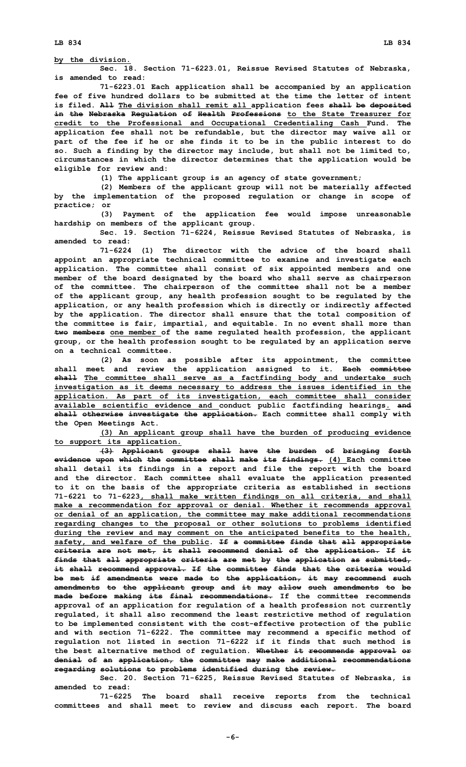**by the division.**

**Sec. 18. Section 71-6223.01, Reissue Revised Statutes of Nebraska, is amended to read:**

**71-6223.01 Each application shall be accompanied by an application fee of five hundred dollars to be submitted at the time the letter of intent is filed. All The division shall remit all application fees shall be deposited in the Nebraska Regulation of Health Professions to the State Treasurer for credit to the Professional and Occupational Credentialing Cash Fund. The application fee shall not be refundable, but the director may waive all or part of the fee if he or she finds it to be in the public interest to do so. Such <sup>a</sup> finding by the director may include, but shall not be limited to, circumstances in which the director determines that the application would be eligible for review and:**

**(1) The applicant group is an agency of state government;**

**(2) Members of the applicant group will not be materially affected by the implementation of the proposed regulation or change in scope of practice; or**

**(3) Payment of the application fee would impose unreasonable hardship on members of the applicant group.**

**Sec. 19. Section 71-6224, Reissue Revised Statutes of Nebraska, is amended to read:**

**71-6224 (1) The director with the advice of the board shall appoint an appropriate technical committee to examine and investigate each application. The committee shall consist of six appointed members and one member of the board designated by the board who shall serve as chairperson of the committee. The chairperson of the committee shall not be <sup>a</sup> member of the applicant group, any health profession sought to be regulated by the application, or any health profession which is directly or indirectly affected by the application. The director shall ensure that the total composition of the committee is fair, impartial, and equitable. In no event shall more than two members one member of the same regulated health profession, the applicant group, or the health profession sought to be regulated by an application serve on a technical committee.**

**(2) As soon as possible after its appointment, the committee shall meet and review the application assigned to it. Each committee shall The committee shall serve as <sup>a</sup> factfinding body and undertake such investigation as it deems necessary to address the issues identified in the application. As part of its investigation, each committee shall consider available scientific evidence and conduct public factfinding hearings. and shall otherwise investigate the application. Each committee shall comply with the Open Meetings Act.**

**(3) An applicant group shall have the burden of producing evidence to support its application.**

**(3) Applicant groups shall have the burden of bringing forth evidence upon which the committee shall make its findings. (4) Each committee shall detail its findings in <sup>a</sup> report and file the report with the board and the director. Each committee shall evaluate the application presented to it on the basis of the appropriate criteria as established in sections 71-6221 to 71-6223, shall make written findings on all criteria, and shall make <sup>a</sup> recommendation for approval or denial. Whether it recommends approval or denial of an application, the committee may make additional recommendations regarding changes to the proposal or other solutions to problems identified during the review and may comment on the anticipated benefits to the health, safety, and welfare of the public. If <sup>a</sup> committee finds that all appropriate criteria are not met, it shall recommend denial of the application. If it finds that all appropriate criteria are met by the application as submitted, it shall recommend approval. If the committee finds that the criteria would be met if amendments were made to the application, it may recommend such amendments to the applicant group and it may allow such amendments to be made before making its final recommendations. If the committee recommends approval of an application for regulation of <sup>a</sup> health profession not currently regulated, it shall also recommend the least restrictive method of regulation to be implemented consistent with the cost-effective protection of the public and with section 71-6222. The committee may recommend <sup>a</sup> specific method of regulation not listed in section 71-6222 if it finds that such method is the best alternative method of regulation. Whether it recommends approval or denial of an application, the committee may make additional recommendations regarding solutions to problems identified during the review.**

**Sec. 20. Section 71-6225, Reissue Revised Statutes of Nebraska, is amended to read:**

**71-6225 The board shall receive reports from the technical committees and shall meet to review and discuss each report. The board**